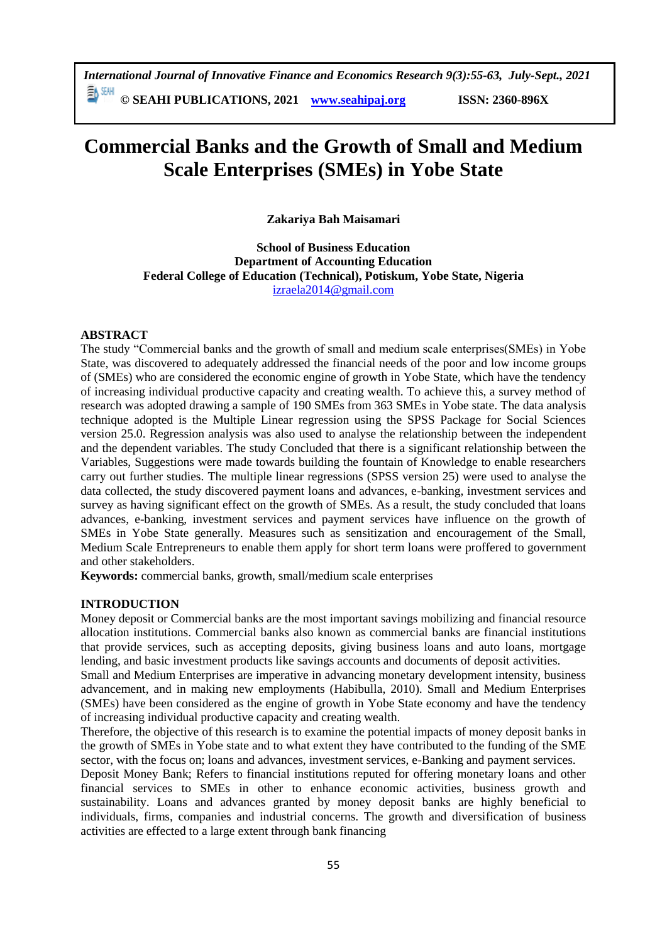*International Journal of Innovative Finance and Economics Research 9(3):55-63, July-Sept., 2021*

**© SEAHI PUBLICATIONS, 2021 [www.seahipaj.org](http://www.seahipaj.org/) ISSN: 2360-896X**

# **Commercial Banks and the Growth of Small and Medium Scale Enterprises (SMEs) in Yobe State**

**Zakariya Bah Maisamari**

**School of Business Education Department of Accounting Education Federal College of Education (Technical), Potiskum, Yobe State, Nigeria** [izraela2014@gmail.com](mailto:izraela2014@gmail.com)

#### **ABSTRACT**

The study "Commercial banks and the growth of small and medium scale enterprises(SMEs) in Yobe State, was discovered to adequately addressed the financial needs of the poor and low income groups of (SMEs) who are considered the economic engine of growth in Yobe State, which have the tendency of increasing individual productive capacity and creating wealth. To achieve this, a survey method of research was adopted drawing a sample of 190 SMEs from 363 SMEs in Yobe state. The data analysis technique adopted is the Multiple Linear regression using the SPSS Package for Social Sciences version 25.0. Regression analysis was also used to analyse the relationship between the independent and the dependent variables. The study Concluded that there is a significant relationship between the Variables, Suggestions were made towards building the fountain of Knowledge to enable researchers carry out further studies. The multiple linear regressions (SPSS version 25) were used to analyse the data collected, the study discovered payment loans and advances, e-banking, investment services and survey as having significant effect on the growth of SMEs. As a result, the study concluded that loans advances, e-banking, investment services and payment services have influence on the growth of SMEs in Yobe State generally. Measures such as sensitization and encouragement of the Small, Medium Scale Entrepreneurs to enable them apply for short term loans were proffered to government and other stakeholders.

**Keywords:** commercial banks, growth, small/medium scale enterprises

#### **INTRODUCTION**

Money deposit or Commercial banks are the most important savings mobilizing and financial resource allocation institutions. Commercial banks also known as commercial banks are financial institutions that provide services, such as accepting deposits, giving business loans and auto loans, mortgage lending, and basic investment products like savings accounts and documents of deposit activities.

Small and Medium Enterprises are imperative in advancing monetary development intensity, business advancement, and in making new employments (Habibulla, 2010). Small and Medium Enterprises (SMEs) have been considered as the engine of growth in Yobe State economy and have the tendency of increasing individual productive capacity and creating wealth.

Therefore, the objective of this research is to examine the potential impacts of money deposit banks in the growth of SMEs in Yobe state and to what extent they have contributed to the funding of the SME sector, with the focus on; loans and advances, investment services, e-Banking and payment services.

Deposit Money Bank; Refers to financial institutions reputed for offering monetary loans and other financial services to SMEs in other to enhance economic activities, business growth and sustainability. Loans and advances granted by money deposit banks are highly beneficial to individuals, firms, companies and industrial concerns. The growth and diversification of business activities are effected to a large extent through bank financing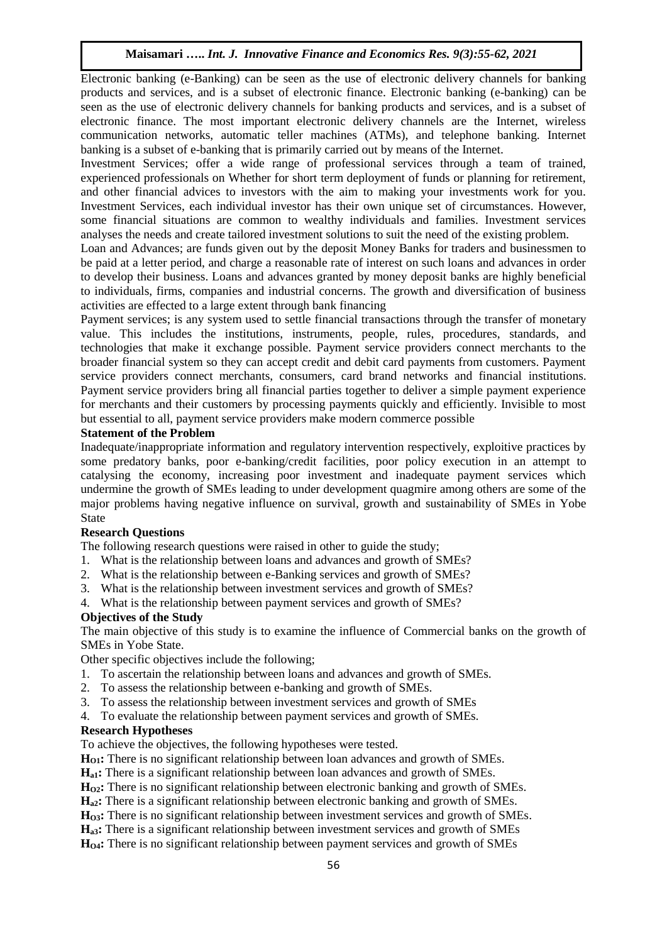# **Maisamari …..** *Int. J. Innovative Finance and Economics Res. 9(3):55-62, 2021*

Electronic banking (e-Banking) can be seen as the use of electronic delivery channels for banking products and services, and is a subset of electronic finance. Electronic banking (e-banking) can be seen as the use of electronic delivery channels for banking products and services, and is a subset of electronic finance. The most important electronic delivery channels are the Internet, wireless communication networks, automatic teller machines (ATMs), and telephone banking. Internet banking is a subset of e-banking that is primarily carried out by means of the Internet.

Investment Services; offer a wide range of professional services through a team of trained, experienced professionals on Whether for short term deployment of funds or planning for retirement, and other financial advices to investors with the aim to making your investments work for you. Investment Services, each individual investor has their own unique set of circumstances. However, some financial situations are common to wealthy individuals and families. Investment services analyses the needs and create tailored investment solutions to suit the need of the existing problem.

Loan and Advances; are funds given out by the deposit Money Banks for traders and businessmen to be paid at a letter period, and charge a reasonable rate of interest on such loans and advances in order to develop their business. Loans and advances granted by money deposit banks are highly beneficial to individuals, firms, companies and industrial concerns. The growth and diversification of business activities are effected to a large extent through bank financing

Payment services; is any [system](https://en.wikipedia.org/wiki/System) used to settle [financial transactions](https://en.wikipedia.org/wiki/Financial_transaction) through the transfer of monetary value. This includes the institutions, instruments, people, rules, procedures, standards, and technologies that make it exchange possible. Payment service providers connect merchants to the broader financial system so they can accept credit and debit card payments from customers. Payment service providers connect merchants, consumers, card brand networks and financial institutions. Payment service providers bring all financial parties together to deliver a simple payment experience for merchants and their customers by processing payments quickly and efficiently. Invisible to most but essential to all, payment service providers make modern commerce possible

#### **Statement of the Problem**

Inadequate/inappropriate information and regulatory intervention respectively, exploitive practices by some predatory banks, poor e-banking/credit facilities, poor policy execution in an attempt to catalysing the economy, increasing poor investment and inadequate payment services which undermine the growth of SMEs leading to under development quagmire among others are some of the major problems having negative influence on survival, growth and sustainability of SMEs in Yobe State

# **Research Questions**

The following research questions were raised in other to guide the study;

- 1. What is the relationship between loans and advances and growth of SMEs?
- 2. What is the relationship between e-Banking services and growth of SMEs?
- 3. What is the relationship between investment services and growth of SMEs?
- 4. What is the relationship between payment services and growth of SMEs?

# **Objectives of the Study**

The main objective of this study is to examine the influence of Commercial banks on the growth of SMEs in Yobe State.

Other specific objectives include the following;

- 1. To ascertain the relationship between loans and advances and growth of SMEs.
- 2. To assess the relationship between e-banking and growth of SMEs.
- 3. To assess the relationship between investment services and growth of SMEs
- 4. To evaluate the relationship between payment services and growth of SMEs.

# **Research Hypotheses**

To achieve the objectives, the following hypotheses were tested.

**HO1:** There is no significant relationship between loan advances and growth of SMEs.

**Ha1:** There is a significant relationship between loan advances and growth of SMEs.

**HO2:** There is no significant relationship between electronic banking and growth of SMEs.

**Ha2:** There is a significant relationship between electronic banking and growth of SMEs.

**HO3:** There is no significant relationship between investment services and growth of SMEs.

**Ha3:** There is a significant relationship between investment services and growth of SMEs **HO4:** There is no significant relationship between payment services and growth of SMEs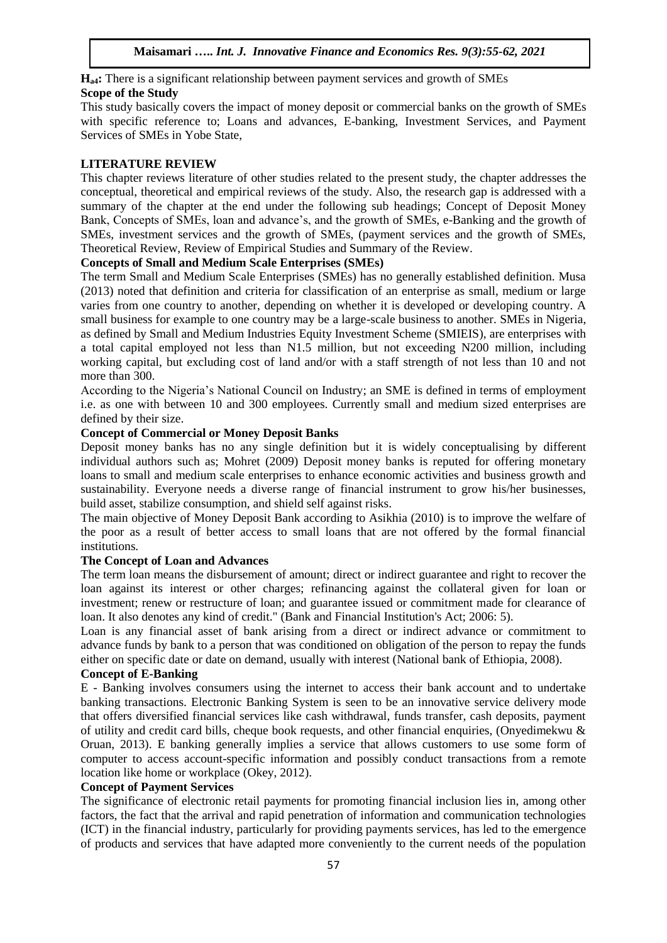**Ha4:** There is a significant relationship between payment services and growth of SMEs

# **Scope of the Study**

This study basically covers the impact of money deposit or commercial banks on the growth of SMEs with specific reference to; Loans and advances, E-banking, Investment Services, and Payment Services of SMEs in Yobe State,

# **LITERATURE REVIEW**

This chapter reviews literature of other studies related to the present study, the chapter addresses the conceptual, theoretical and empirical reviews of the study. Also, the research gap is addressed with a summary of the chapter at the end under the following sub headings; Concept of Deposit Money Bank, Concepts of SMEs, loan and advance's, and the growth of SMEs, e-Banking and the growth of SMEs, investment services and the growth of SMEs, (payment services and the growth of SMEs, Theoretical Review, Review of Empirical Studies and Summary of the Review.

# **Concepts of Small and Medium Scale Enterprises (SMEs)**

The term Small and Medium Scale Enterprises (SMEs) has no generally established definition. Musa (2013) noted that definition and criteria for classification of an enterprise as small, medium or large varies from one country to another, depending on whether it is developed or developing country. A small business for example to one country may be a large-scale business to another. SMEs in Nigeria, as defined by Small and Medium Industries Equity Investment Scheme (SMIEIS), are enterprises with a total capital employed not less than N1.5 million, but not exceeding N200 million, including working capital, but excluding cost of land and/or with a staff strength of not less than 10 and not more than 300.

According to the Nigeria's National Council on Industry; an SME is defined in terms of employment i.e. as one with between 10 and 300 employees. Currently small and medium sized enterprises are defined by their size.

# **Concept of Commercial or Money Deposit Banks**

Deposit money banks has no any single definition but it is widely conceptualising by different individual authors such as; Mohret (2009) Deposit money banks is reputed for offering monetary loans to small and medium scale enterprises to enhance economic activities and business growth and sustainability. Everyone needs a diverse range of financial instrument to grow his/her businesses, build asset, stabilize consumption, and shield self against risks.

The main objective of Money Deposit Bank according to Asikhia (2010) is to improve the welfare of the poor as a result of better access to small loans that are not offered by the formal financial institutions.

# **The Concept of Loan and Advances**

The term loan means the disbursement of amount; direct or indirect guarantee and right to recover the loan against its interest or other charges; refinancing against the collateral given for loan or investment; renew or restructure of loan; and guarantee issued or commitment made for clearance of loan. It also denotes any kind of credit." (Bank and Financial Institution's Act; 2006: 5).

Loan is any financial asset of bank arising from a direct or indirect advance or commitment to advance funds by bank to a person that was conditioned on obligation of the person to repay the funds either on specific date or date on demand, usually with interest (National bank of Ethiopia, 2008).

# **Concept of E-Banking**

E - Banking involves consumers using the internet to access their bank account and to undertake banking transactions. Electronic Banking System is seen to be an innovative service delivery mode that offers diversified financial services like cash withdrawal, funds transfer, cash deposits, payment of utility and credit card bills, cheque book requests, and other financial enquiries, (Onyedimekwu & Oruan, 2013). E banking generally implies a service that allows customers to use some form of computer to access account-specific information and possibly conduct transactions from a remote location like home or workplace (Okey, 2012).

# **Concept of Payment Services**

The significance of electronic retail payments for promoting financial inclusion lies in, among other factors, the fact that the arrival and rapid penetration of information and communication technologies (ICT) in the financial industry, particularly for providing payments services, has led to the emergence of products and services that have adapted more conveniently to the current needs of the population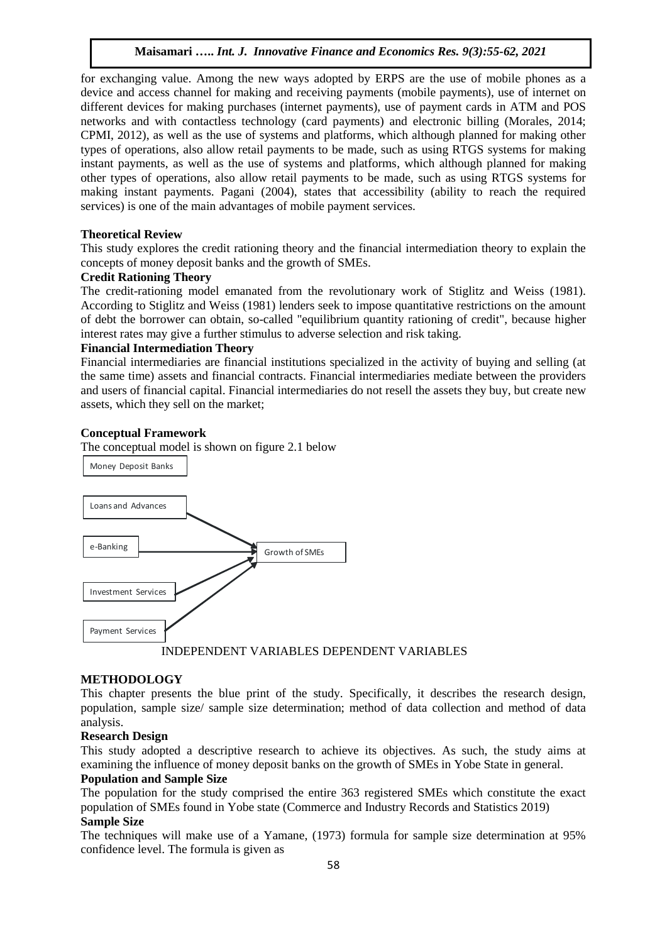# **Maisamari …..** *Int. J. Innovative Finance and Economics Res. 9(3):55-62, 2021*

for exchanging value. Among the new ways adopted by ERPS are the use of mobile phones as a device and access channel for making and receiving payments (mobile payments), use of internet on different devices for making purchases (internet payments), use of payment cards in ATM and POS networks and with contactless technology (card payments) and electronic billing (Morales, 2014; CPMI, 2012), as well as the use of systems and platforms, which although planned for making other types of operations, also allow retail payments to be made, such as using RTGS systems for making instant payments, as well as the use of systems and platforms, which although planned for making other types of operations, also allow retail payments to be made, such as using RTGS systems for making instant payments. Pagani (2004), states that accessibility (ability to reach the required services) is one of the main advantages of mobile payment services.

#### **Theoretical Review**

This study explores the credit rationing theory and the financial intermediation theory to explain the concepts of money deposit banks and the growth of SMEs.

#### **Credit Rationing Theory**

The credit-rationing model emanated from the revolutionary work of Stiglitz and Weiss (1981). According to Stiglitz and Weiss (1981) lenders seek to impose quantitative restrictions on the amount of debt the borrower can obtain, so-called "equilibrium quantity rationing of credit", because higher interest rates may give a further stimulus to adverse selection and risk taking.

#### **Financial Intermediation Theory**

Financial intermediaries are financial institutions specialized in the activity of buying and selling (at the same time) assets and financial contracts. Financial intermediaries mediate between the providers and users of financial capital. Financial intermediaries do not resell the assets they buy, but create new assets, which they sell on the market;

#### **Conceptual Framework**

The conceptual model is shown on figure 2.1 below



#### **METHODOLOGY**

This chapter presents the blue print of the study. Specifically, it describes the research design, population, sample size/ sample size determination; method of data collection and method of data analysis.

#### **Research Design**

This study adopted a descriptive research to achieve its objectives. As such, the study aims at examining the influence of money deposit banks on the growth of SMEs in Yobe State in general.

#### **Population and Sample Size**

The population for the study comprised the entire 363 registered SMEs which constitute the exact population of SMEs found in Yobe state (Commerce and Industry Records and Statistics 2019) **Sample Size**

The techniques will make use of a Yamane, (1973) formula for sample size determination at 95% confidence level. The formula is given as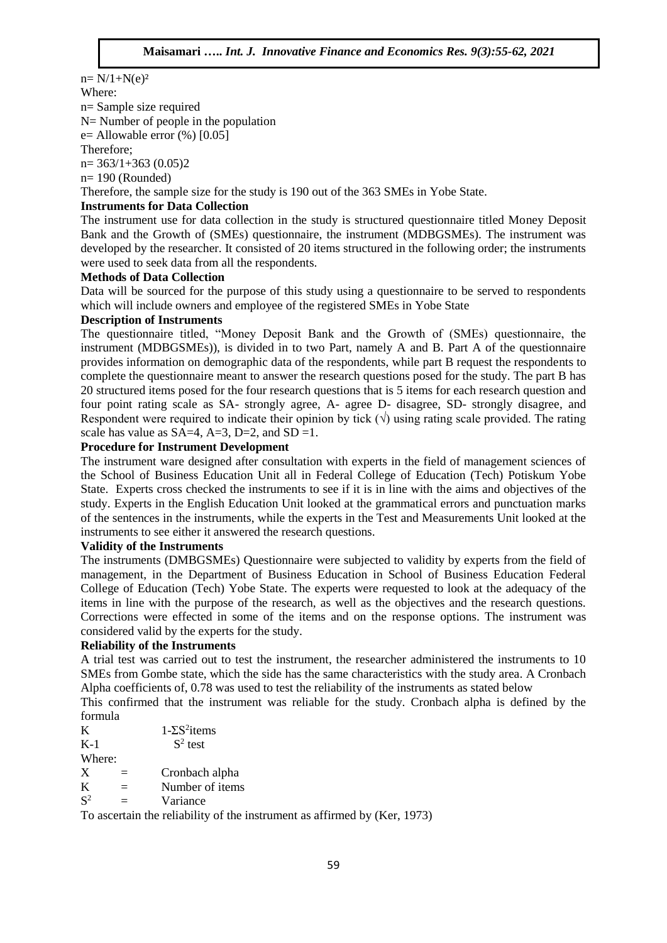$n = N/1 + N(e)^2$ Where: n= Sample size required N= Number of people in the population  $e=$  Allowable error  $(\%)$  [0.05] Therefore;  $n= 363/1+363$  (0.05)2 n= 190 (Rounded) Therefore, the sample size for the study is 190 out of the 363 SMEs in Yobe State. **Instruments for Data Collection**

The instrument use for data collection in the study is structured questionnaire titled Money Deposit Bank and the Growth of (SMEs) questionnaire, the instrument (MDBGSMEs). The instrument was developed by the researcher. It consisted of 20 items structured in the following order; the instruments were used to seek data from all the respondents.

#### **Methods of Data Collection**

Data will be sourced for the purpose of this study using a questionnaire to be served to respondents which will include owners and employee of the registered SMEs in Yobe State

#### **Description of Instruments**

The questionnaire titled, "Money Deposit Bank and the Growth of (SMEs) questionnaire, the instrument (MDBGSMEs)), is divided in to two Part, namely A and B. Part A of the questionnaire provides information on demographic data of the respondents, while part B request the respondents to complete the questionnaire meant to answer the research questions posed for the study. The part B has 20 structured items posed for the four research questions that is 5 items for each research question and four point rating scale as SA- strongly agree, A- agree D- disagree, SD- strongly disagree, and Respondent were required to indicate their opinion by tick  $(\sqrt{)}$  using rating scale provided. The rating scale has value as  $SA=4$ ,  $A=3$ ,  $D=2$ , and  $SD=1$ .

# **Procedure for Instrument Development**

The instrument ware designed after consultation with experts in the field of management sciences of the School of Business Education Unit all in Federal College of Education (Tech) Potiskum Yobe State. Experts cross checked the instruments to see if it is in line with the aims and objectives of the study. Experts in the English Education Unit looked at the grammatical errors and punctuation marks of the sentences in the instruments, while the experts in the Test and Measurements Unit looked at the instruments to see either it answered the research questions.

#### **Validity of the Instruments**

The instruments (DMBGSMEs) Questionnaire were subjected to validity by experts from the field of management, in the Department of Business Education in School of Business Education Federal College of Education (Tech) Yobe State. The experts were requested to look at the adequacy of the items in line with the purpose of the research, as well as the objectives and the research questions. Corrections were effected in some of the items and on the response options. The instrument was considered valid by the experts for the study.

#### **Reliability of the Instruments**

A trial test was carried out to test the instrument, the researcher administered the instruments to 10 SMEs from Gombe state, which the side has the same characteristics with the study area. A Cronbach Alpha coefficients of, 0.78 was used to test the reliability of the instruments as stated below

This confirmed that the instrument was reliable for the study. Cronbach alpha is defined by the formula

| K              | $1-\Sigma S^2$ items |  |  |
|----------------|----------------------|--|--|
| $K-1$          | $S^2$ test           |  |  |
| Where:         |                      |  |  |
| X              | Cronbach alpha       |  |  |
| K              | Number of items      |  |  |
| S <sup>2</sup> | Variance             |  |  |

To ascertain the reliability of the instrument as affirmed by (Ker, 1973)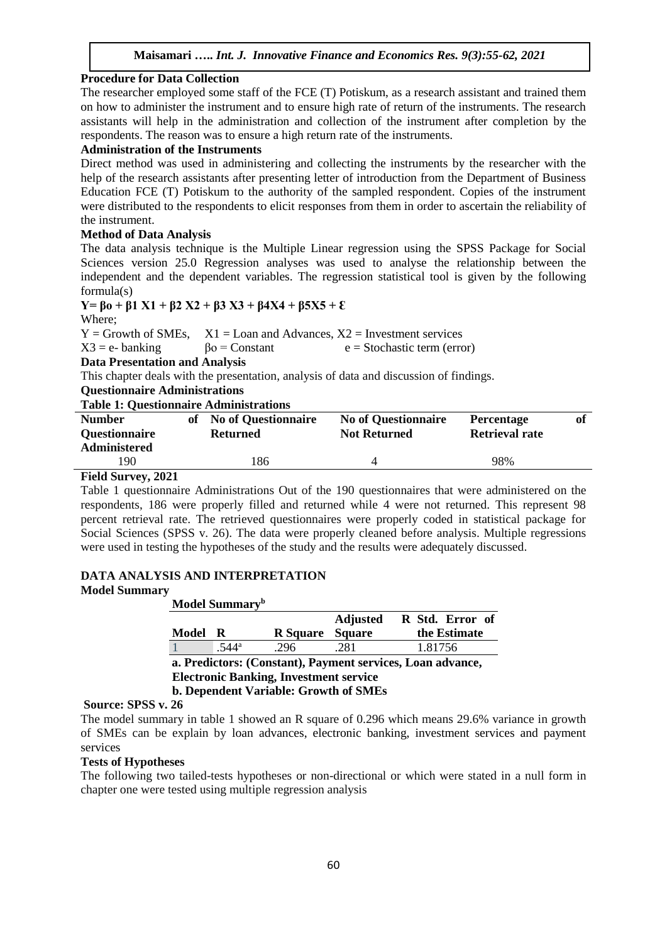# **Procedure for Data Collection**

The researcher employed some staff of the FCE (T) Potiskum, as a research assistant and trained them on how to administer the instrument and to ensure high rate of return of the instruments. The research assistants will help in the administration and collection of the instrument after completion by the respondents. The reason was to ensure a high return rate of the instruments.

# **Administration of the Instruments**

Direct method was used in administering and collecting the instruments by the researcher with the help of the research assistants after presenting letter of introduction from the Department of Business Education FCE (T) Potiskum to the authority of the sampled respondent. Copies of the instrument were distributed to the respondents to elicit responses from them in order to ascertain the reliability of the instrument.

#### **Method of Data Analysis**

The data analysis technique is the Multiple Linear regression using the SPSS Package for Social Sciences version 25.0 Regression analyses was used to analyse the relationship between the independent and the dependent variables. The regression statistical tool is given by the following formula(s)

**Y= βο + β1 X1 + β2 X2 + β3 X3 + β4X4 + β5X5 + Ɛ** Where;

 $Y =$  Growth of SMEs,  $X1 =$ Loan and Advances,  $X2 =$  Investment services

 $X3 = e$ - banking βο = Constant  $e =$  Stochastic term (error)

**Data Presentation and Analysis** 

This chapter deals with the presentation, analysis of data and discussion of findings.

**Questionnaire Administrations**

#### **Table 1: Questionnaire Administrations**

| <b>Number</b><br><b>Questionnaire</b><br><b>Administered</b> | of No of Questionnaire<br>Returned | <b>No of Questionnaire</b><br><b>Not Returned</b> | <b>Percentage</b><br><b>Retrieval rate</b> |  |
|--------------------------------------------------------------|------------------------------------|---------------------------------------------------|--------------------------------------------|--|
| 190.                                                         | .86                                |                                                   | 98%                                        |  |

# **Field Survey, 2021**

Table 1 questionnaire Administrations Out of the 190 questionnaires that were administered on the respondents, 186 were properly filled and returned while 4 were not returned. This represent 98 percent retrieval rate. The retrieved questionnaires were properly coded in statistical package for Social Sciences (SPSS v. 26). The data were properly cleaned before analysis. Multiple regressions were used in testing the hypotheses of the study and the results were adequately discussed.

#### **DATA ANALYSIS AND INTERPRETATION Model Summary**

**Model Summary<sup>b</sup>**

| R Std. Error of                                            |  |  |  |  |  |  |  |  |  |
|------------------------------------------------------------|--|--|--|--|--|--|--|--|--|
| the Estimate                                               |  |  |  |  |  |  |  |  |  |
|                                                            |  |  |  |  |  |  |  |  |  |
| a. Predictors: (Constant), Payment services, Loan advance, |  |  |  |  |  |  |  |  |  |
| <b>Electronic Banking, Investment service</b>              |  |  |  |  |  |  |  |  |  |
| <b>b. Dependent Variable: Growth of SMEs</b>               |  |  |  |  |  |  |  |  |  |
|                                                            |  |  |  |  |  |  |  |  |  |

#### **Source: SPSS v. 26**

The model summary in table 1 showed an R square of 0.296 which means 29.6% variance in growth of SMEs can be explain by loan advances, electronic banking, investment services and payment services

# **Tests of Hypotheses**

The following two tailed-tests hypotheses or non-directional or which were stated in a null form in chapter one were tested using multiple regression analysis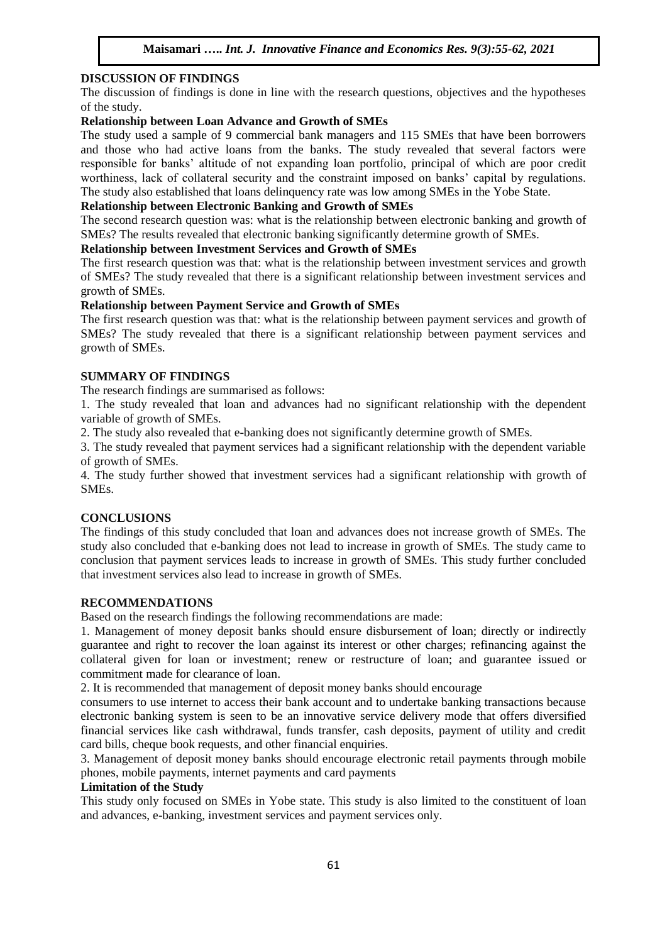# **DISCUSSION OF FINDINGS**

The discussion of findings is done in line with the research questions, objectives and the hypotheses of the study.

# **Relationship between Loan Advance and Growth of SMEs**

The study used a sample of 9 commercial bank managers and 115 SMEs that have been borrowers and those who had active loans from the banks. The study revealed that several factors were responsible for banks' altitude of not expanding loan portfolio, principal of which are poor credit worthiness, lack of collateral security and the constraint imposed on banks' capital by regulations. The study also established that loans delinquency rate was low among SMEs in the Yobe State.

# **Relationship between Electronic Banking and Growth of SMEs**

The second research question was: what is the relationship between electronic banking and growth of SMEs? The results revealed that electronic banking significantly determine growth of SMEs.

#### **Relationship between Investment Services and Growth of SMEs**

The first research question was that: what is the relationship between investment services and growth of SMEs? The study revealed that there is a significant relationship between investment services and growth of SMEs.

#### **Relationship between Payment Service and Growth of SMEs**

The first research question was that: what is the relationship between payment services and growth of SMEs? The study revealed that there is a significant relationship between payment services and growth of SMEs.

#### **SUMMARY OF FINDINGS**

The research findings are summarised as follows:

1. The study revealed that loan and advances had no significant relationship with the dependent variable of growth of SMEs.

2. The study also revealed that e-banking does not significantly determine growth of SMEs.

3. The study revealed that payment services had a significant relationship with the dependent variable of growth of SMEs.

4. The study further showed that investment services had a significant relationship with growth of SMEs.

# **CONCLUSIONS**

The findings of this study concluded that loan and advances does not increase growth of SMEs. The study also concluded that e-banking does not lead to increase in growth of SMEs. The study came to conclusion that payment services leads to increase in growth of SMEs. This study further concluded that investment services also lead to increase in growth of SMEs.

#### **RECOMMENDATIONS**

Based on the research findings the following recommendations are made:

1. Management of money deposit banks should ensure disbursement of loan; directly or indirectly guarantee and right to recover the loan against its interest or other charges; refinancing against the collateral given for loan or investment; renew or restructure of loan; and guarantee issued or commitment made for clearance of loan.

2. It is recommended that management of deposit money banks should encourage

consumers to use internet to access their bank account and to undertake banking transactions because electronic banking system is seen to be an innovative service delivery mode that offers diversified financial services like cash withdrawal, funds transfer, cash deposits, payment of utility and credit card bills, cheque book requests, and other financial enquiries.

3. Management of deposit money banks should encourage electronic retail payments through mobile phones, mobile payments, internet payments and card payments

#### **Limitation of the Study**

This study only focused on SMEs in Yobe state. This study is also limited to the constituent of loan and advances, e-banking, investment services and payment services only.